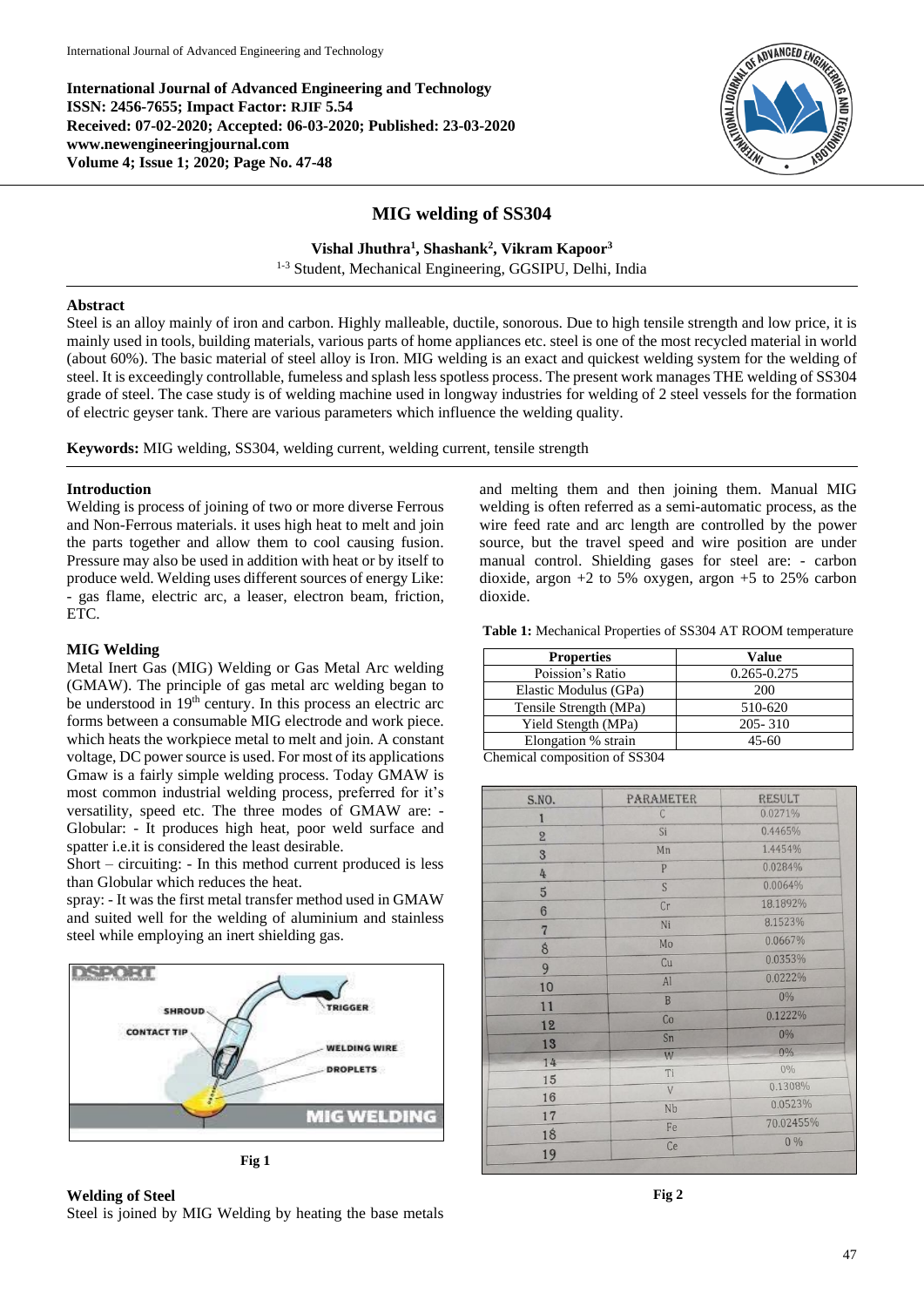**International Journal of Advanced Engineering and Technology ISSN: 2456-7655; Impact Factor: RJIF 5.54 Received: 07-02-2020; Accepted: 06-03-2020; Published: 23-03-2020 www.newengineeringjournal.com Volume 4; Issue 1; 2020; Page No. 47-48**



# **MIG welding of SS304**

**Vishal Jhuthra<sup>1</sup> , Shashank<sup>2</sup> , Vikram Kapoor<sup>3</sup>**

1-3 Student, Mechanical Engineering, GGSIPU, Delhi, India

#### **Abstract**

Steel is an alloy mainly of iron and carbon. Highly malleable, ductile, sonorous. Due to high tensile strength and low price, it is mainly used in tools, building materials, various parts of home appliances etc. steel is one of the most recycled material in world (about 60%). The basic material of steel alloy is Iron. MIG welding is an exact and quickest welding system for the welding of steel. It is exceedingly controllable, fumeless and splash less spotless process. The present work manages THE welding of SS304 grade of steel. The case study is of welding machine used in longway industries for welding of 2 steel vessels for the formation of electric geyser tank. There are various parameters which influence the welding quality.

**Keywords:** MIG welding, SS304, welding current, welding current, tensile strength

### **Introduction**

Welding is process of joining of two or more diverse Ferrous and Non-Ferrous materials. it uses high heat to melt and join the parts together and allow them to cool causing fusion. Pressure may also be used in addition with heat or by itself to produce weld. Welding uses different sources of energy Like: - gas flame, electric arc, a leaser, electron beam, friction, ETC.

#### **MIG Welding**

Metal Inert Gas (MIG) Welding or Gas Metal Arc welding (GMAW). The principle of gas metal arc welding began to be understood in 19<sup>th</sup> century. In this process an electric arc forms between a consumable MIG electrode and work piece. which heats the workpiece metal to melt and join. A constant voltage, DC power source is used. For most of its applications Gmaw is a fairly simple welding process. Today GMAW is most common industrial welding process, preferred for it's versatility, speed etc. The three modes of GMAW are: - Globular: - It produces high heat, poor weld surface and spatter i.e.it is considered the least desirable.

Short – circuiting: - In this method current produced is less than Globular which reduces the heat.

spray: - It was the first metal transfer method used in GMAW and suited well for the welding of aluminium and stainless steel while employing an inert shielding gas.



**Fig 1**

# **Welding of Steel**

Steel is joined by MIG Welding by heating the base metals

and melting them and then joining them. Manual MIG welding is often referred as a semi-automatic process, as the wire feed rate and arc length are controlled by the power source, but the travel speed and wire position are under manual control. Shielding gases for steel are: - carbon dioxide, argon  $+2$  to 5% oxygen, argon  $+5$  to 25% carbon dioxide.

**Table 1:** Mechanical Properties of SS304 AT ROOM temperature

| Value       |
|-------------|
| 0.265-0.275 |
| 200         |
| 510-620     |
| $205 - 310$ |
| 45-60       |
|             |

Chemical composition of SS304

| S.NO.          | <b>PARAMETER</b> | <b>RESULT</b> |
|----------------|------------------|---------------|
| $\mathbf{I}$   | $\mathsf C$      | 0.0271%       |
| $\overline{2}$ | Si               | 0.4465%       |
| 3              | Mn               | 1.4454%       |
| 4              | $\overline{P}$   | 0.0284%       |
| $\overline{5}$ | S                | 0.0064%       |
| $6\phantom{1}$ | Cr               | 18.1892%      |
| $\overline{7}$ | Ni               | 8.1523%       |
| $\delta$       | Mo               | 0.0667%       |
| 9              | Cu               | 0.0353%       |
| 10             | Al               | 0.0222%       |
|                | B                | 0%            |
| 11             | Co               | 0.1222%       |
| 12             | Sn               | 0%            |
| 13             | W                | 0%            |
| 14             | Ti               | $0\%$         |
| 15             | V                | 0.1308%       |
| 16             | Nb               | 0.0523%       |
| 17             | Fe               | 70.02455%     |
| 18             | Ce               | $0\%$         |
| 19             |                  |               |

**Fig 2**